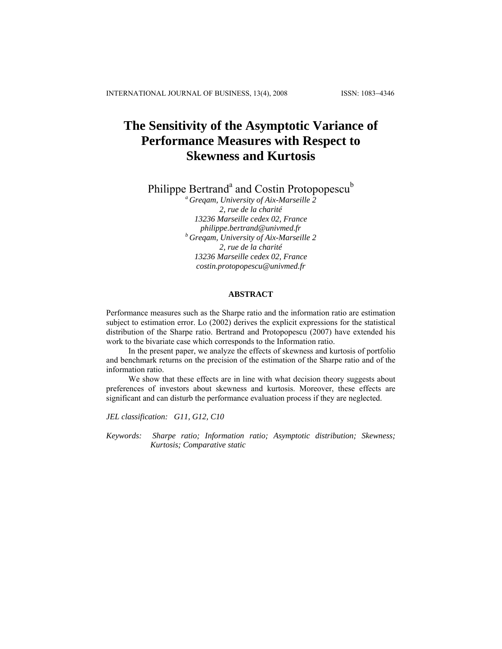# **The Sensitivity of the Asymptotic Variance of Performance Measures with Respect to Skewness and Kurtosis**

Philippe Bertrand<sup>a</sup> and Costin Protopopescu<sup>b</sup>

*a Greqam, University of Aix-Marseille 2 2, rue de la charité 13236 Marseille cedex 02, France philippe.bertrand@univmed.fr b Greqam, University of Aix-Marseille 2 2, rue de la charité 13236 Marseille cedex 02, France costin.protopopescu@univmed.fr* 

#### **ABSTRACT**

Performance measures such as the Sharpe ratio and the information ratio are estimation subject to estimation error. Lo (2002) derives the explicit expressions for the statistical distribution of the Sharpe ratio. Bertrand and Protopopescu (2007) have extended his work to the bivariate case which corresponds to the Information ratio.

In the present paper, we analyze the effects of skewness and kurtosis of portfolio and benchmark returns on the precision of the estimation of the Sharpe ratio and of the information ratio.

We show that these effects are in line with what decision theory suggests about preferences of investors about skewness and kurtosis. Moreover, these effects are significant and can disturb the performance evaluation process if they are neglected.

*JEL classification: G11, G12, C10* 

*Keywords: Sharpe ratio; Information ratio; Asymptotic distribution; Skewness; Kurtosis; Comparative static*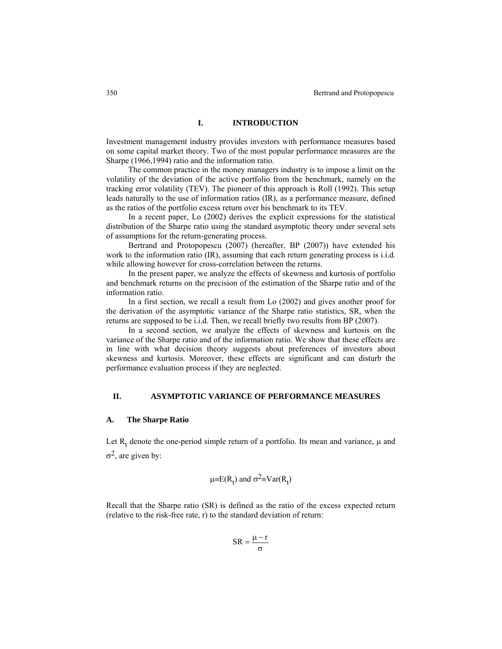# **I. INTRODUCTION**

Investment management industry provides investors with performance measures based on some capital market theory. Two of the most popular performance measures are the Sharpe (1966,1994) ratio and the information ratio.

The common practice in the money managers industry is to impose a limit on the volatility of the deviation of the active portfolio from the benchmark, namely on the tracking error volatility (TEV). The pioneer of this approach is Roll (1992). This setup leads naturally to the use of information ratios (IR), as a performance measure, defined as the ratios of the portfolio excess return over his benchmark to its TEV.

In a recent paper, Lo (2002) derives the explicit expressions for the statistical distribution of the Sharpe ratio using the standard asymptotic theory under several sets of assumptions for the return-generating process.

Bertrand and Protopopescu (2007) (hereafter, BP (2007)) have extended his work to the information ratio (IR), assuming that each return generating process is i.i.d. while allowing however for cross-correlation between the returns.

In the present paper, we analyze the effects of skewness and kurtosis of portfolio and benchmark returns on the precision of the estimation of the Sharpe ratio and of the information ratio.

In a first section, we recall a result from Lo (2002) and gives another proof for the derivation of the asymptotic variance of the Sharpe ratio statistics, SR, when the returns are supposed to be i.i.d. Then, we recall briefly two results from BP (2007).

In a second section, we analyze the effects of skewness and kurtosis on the variance of the Sharpe ratio and of the information ratio. We show that these effects are in line with what decision theory suggests about preferences of investors about skewness and kurtosis. Moreover, these effects are significant and can disturb the performance evaluation process if they are neglected.

# **II. ASYMPTOTIC VARIANCE OF PERFORMANCE MEASURES**

## **A. The Sharpe Ratio**

Let  $R_t$  denote the one-period simple return of a portfolio. Its mean and variance,  $\mu$  and  $\sigma^2$ , are given by:

$$
\mu \equiv E(R_t)
$$
 and  $\sigma^2 \equiv Var(R_t)$ 

Recall that the Sharpe ratio (SR) is defined as the ratio of the excess expected return (relative to the risk-free rate, r) to the standard deviation of return:

$$
SR = \frac{\mu - r}{\sigma}
$$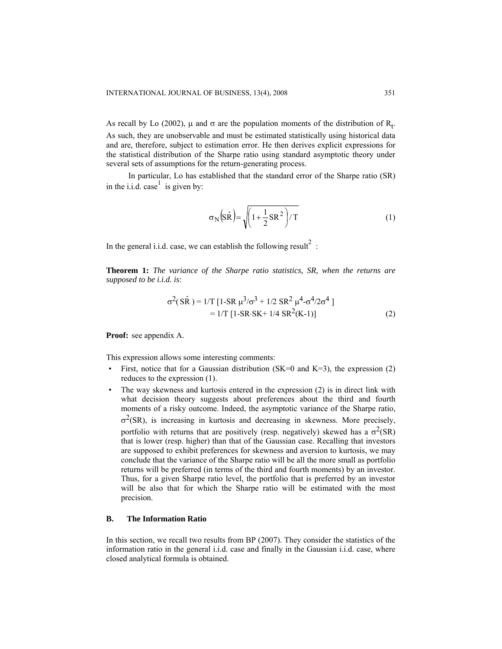As recall by Lo (2002),  $\mu$  and  $\sigma$  are the population moments of the distribution of R<sub>t</sub>. As such, they are unobservable and must be estimated statistically using historical data and are, therefore, subject to estimation error. He then derives explicit expressions for the statistical distribution of the Sharpe ratio using standard asymptotic theory under several sets of assumptions for the return-generating process.

In particular, Lo has established that the standard error of the Sharpe ratio (SR) in the i.i.d. case<sup>1</sup> is given by:

$$
\sigma_{N}(S\hat{R}) = \sqrt{\left(1 + \frac{1}{2}SR^{2}\right)/T}
$$
 (1)

In the general i.i.d. case, we can establish the following result<sup>2</sup>:

**Theorem 1:** *The variance of the Sharpe ratio statistics, SR, when the returns are supposed to be i.i.d. is*:

$$
\sigma^{2}(S\hat{R}) = 1/T [1-SR \mu^{3}/\sigma^{3} + 1/2 SR^{2} \mu^{4} - \sigma^{4}/2\sigma^{4}]
$$
  
= 1/T [1-SR-SK+1/4 SR<sup>2</sup>(K-1)] (2)

**Proof:** see appendix A.

This expression allows some interesting comments:

- First, notice that for a Gaussian distribution (SK=0 and K=3), the expression  $(2)$ reduces to the expression (1).
- The way skewness and kurtosis entered in the expression (2) is in direct link with what decision theory suggests about preferences about the third and fourth moments of a risky outcome. Indeed, the asymptotic variance of the Sharpe ratio,  $\sigma^2$ (SR), is increasing in kurtosis and decreasing in skewness. More precisely, portfolio with returns that are positively (resp. negatively) skewed has a  $\sigma^2(SR)$ that is lower (resp. higher) than that of the Gaussian case. Recalling that investors are supposed to exhibit preferences for skewness and aversion to kurtosis, we may conclude that the variance of the Sharpe ratio will be all the more small as portfolio returns will be preferred (in terms of the third and fourth moments) by an investor. Thus, for a given Sharpe ratio level, the portfolio that is preferred by an investor will be also that for which the Sharpe ratio will be estimated with the most precision.

# **B. The Information Ratio**

In this section, we recall two results from BP (2007). They consider the statistics of the information ratio in the general i.i.d. case and finally in the Gaussian i.i.d. case, where closed analytical formula is obtained.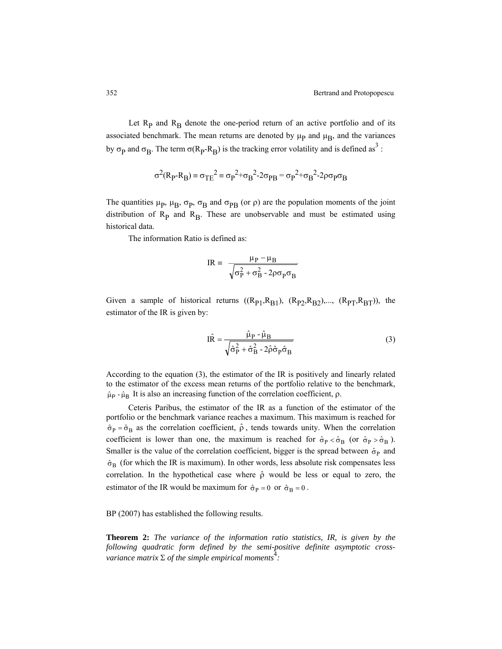Let  $R_p$  and  $R_B$  denote the one-period return of an active portfolio and of its associated benchmark. The mean returns are denoted by  $\mu_{\rm p}$  and  $\mu_{\rm B}$ , and the variances by  $\sigma_{\rm p}$  and  $\sigma_{\rm B}$ . The term  $\sigma(R_{\rm p} - R_{\rm B})$  is the tracking error volatility and is defined as<sup>3</sup>:

$$
\sigma^2(R_P\text{-}R_B)\equiv\sigma_{TE}{}^2\equiv\sigma_P{}^2\text{+}\sigma_B{}^2\text{-}2\sigma_{PB}=\sigma_P{}^2\text{+}\sigma_B{}^2\text{-}2\rho\sigma_P\sigma_B
$$

The quantities  $\mu_{\rm p}$ ,  $\mu_{\rm B}$ ,  $\sigma_{\rm p}$ ,  $\sigma_{\rm B}$  and  $\sigma_{\rm PB}$  (or  $\rho$ ) are the population moments of the joint distribution of  $R_p$  and  $R_p$ . These are unobservable and must be estimated using historical data.

The information Ratio is defined as:

$$
IR = \frac{\mu_P - \mu_B}{\sqrt{\sigma_P^2 + \sigma_B^2 - 2\rho\sigma_P\sigma_B}}
$$

Given a sample of historical returns  $((R_{P1},R_{B1}), (R_{P2},R_{B2}),..., (R_{PT},R_{BT}))$ , the estimator of the IR is given by:

$$
\hat{\text{IR}} = \frac{\hat{\mu}_{\text{P}} - \hat{\mu}_{\text{B}}}{\sqrt{\hat{\sigma}_{\text{P}}^2 + \hat{\sigma}_{\text{B}}^2 - 2\hat{\rho}\hat{\sigma}_{\text{P}}\hat{\sigma}_{\text{B}}}}
$$
(3)

According to the equation (3), the estimator of the IR is positively and linearly related to the estimator of the excess mean returns of the portfolio relative to the benchmark,  $\hat{\mu}_P$  -  $\hat{\mu}_B$  It is also an increasing function of the correlation coefficient,  $\rho$ .

Ceteris Paribus, the estimator of the IR as a function of the estimator of the portfolio or the benchmark variance reaches a maximum. This maximum is reached for  $\hat{\sigma}_P = \hat{\sigma}_B$  as the correlation coefficient,  $\hat{\rho}$ , tends towards unity. When the correlation coefficient is lower than one, the maximum is reached for  $\hat{\sigma}_P < \hat{\sigma}_B$  (or  $\hat{\sigma}_P > \hat{\sigma}_B$ ). Smaller is the value of the correlation coefficient, bigger is the spread between  $\hat{\sigma}_{P}$  and  $\hat{\sigma}_{B}$  (for which the IR is maximum). In other words, less absolute risk compensates less correlation. In the hypothetical case where  $\hat{\rho}$  would be less or equal to zero, the estimator of the IR would be maximum for  $\hat{\sigma}_P = 0$  or  $\hat{\sigma}_R = 0$ .

BP (2007) has established the following results.

**Theorem 2:** *The variance of the information ratio statistics, IR, is given by the following quadratic form defined by the semi-positive definite asymptotic crossvariance matrix* Σ *of the simple empirical moments*<sup>4</sup> *:*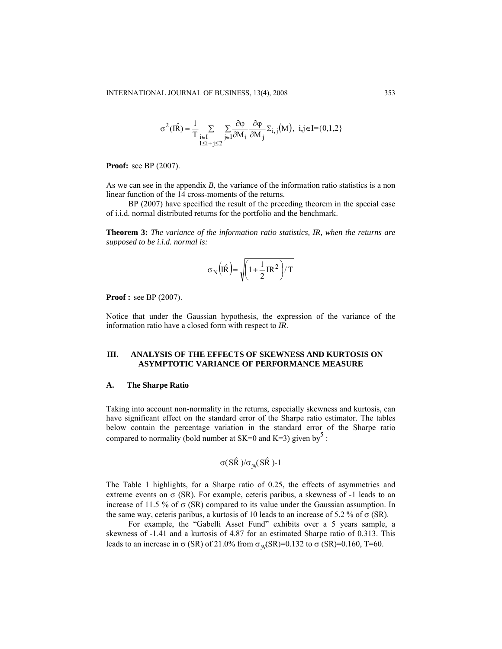$$
\sigma^2(I\hat{R}) = \frac{1}{T} \sum_{\substack{i \in I \\ 1 \le i + j \le 2}} \sum_{j \in I} \frac{\partial \varphi}{\partial M_i} \frac{\partial \varphi}{\partial M_j} \Sigma_{i,j}(M), \ i,j \in I = \{0,1,2\}
$$

**Proof:** see BP (2007).

As we can see in the appendix *B*, the variance of the information ratio statistics is a non linear function of the 14 cross-moments of the returns.

BP (2007) have specified the result of the preceding theorem in the special case of i.i.d. normal distributed returns for the portfolio and the benchmark.

**Theorem 3:** *The variance of the information ratio statistics, IR, when the returns are supposed to be i.i.d. normal is:* 

$$
\sigma_N\Big(\!\hat{IR}\Big)\!\!=\!\sqrt{\!\Big(1\!+\!\frac{1}{2}IR^2\Big)/\,T}
$$

**Proof :** see BP (2007).

Notice that under the Gaussian hypothesis, the expression of the variance of the information ratio have a closed form with respect to *IR*.

## **III. ANALYSIS OF THE EFFECTS OF SKEWNESS AND KURTOSIS ON ASYMPTOTIC VARIANCE OF PERFORMANCE MEASURE**

#### **A. The Sharpe Ratio**

Taking into account non-normality in the returns, especially skewness and kurtosis, can have significant effect on the standard error of the Sharpe ratio estimator. The tables below contain the percentage variation in the standard error of the Sharpe ratio compared to normality (bold number at SK=0 and K=3) given by  $5$ :

$$
\sigma(S\hat{R})/\sigma_{\mathcal{N}}(S\hat{R})\text{-}1
$$

The Table 1 highlights, for a Sharpe ratio of 0.25, the effects of asymmetries and extreme events on  $\sigma$  (SR). For example, ceteris paribus, a skewness of -1 leads to an increase of 11.5 % of  $\sigma$  (SR) compared to its value under the Gaussian assumption. In the same way, ceteris paribus, a kurtosis of 10 leads to an increase of 5.2 % of  $\sigma$  (SR).

For example, the "Gabelli Asset Fund" exhibits over a 5 years sample, a skewness of -1.41 and a kurtosis of 4.87 for an estimated Sharpe ratio of 0.313. This leads to an increase in σ (SR) of 21.0% from  $\sigma_{\eta}$ (SR)=0.132 to σ (SR)=0.160, T=60.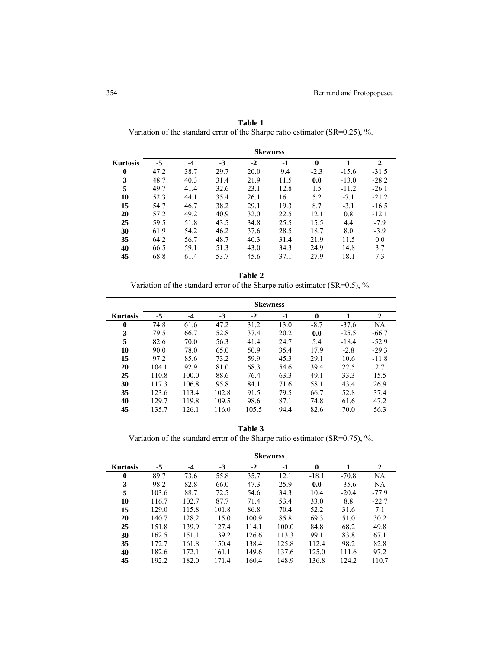|                 | <b>Skewness</b> |      |      |      |      |        |         |              |
|-----------------|-----------------|------|------|------|------|--------|---------|--------------|
| <b>Kurtosis</b> | -5              | -4   | $-3$ | $-2$ | -1   | 0      |         | $\mathbf{2}$ |
| $\bf{0}$        | 47.2            | 38.7 | 29.7 | 20.0 | 9.4  | $-2.3$ | $-15.6$ | $-31.5$      |
| 3               | 48.7            | 40.3 | 31.4 | 21.9 | 11.5 | 0.0    | $-13.0$ | $-28.2$      |
| 5               | 49.7            | 41.4 | 32.6 | 23.1 | 12.8 | 1.5    | $-11.2$ | $-26.1$      |
| 10              | 52.3            | 44.1 | 35.4 | 26.1 | 16.1 | 5.2    | $-7.1$  | $-21.2$      |
| 15              | 54.7            | 46.7 | 38.2 | 29.1 | 19.3 | 8.7    | $-3.1$  | $-16.5$      |
| 20              | 57.2            | 49.2 | 40.9 | 32.0 | 22.5 | 12.1   | 0.8     | $-12.1$      |
| 25              | 59.5            | 51.8 | 43.5 | 34.8 | 25.5 | 15.5   | 4.4     | $-7.9$       |
| 30              | 61.9            | 54.2 | 46.2 | 37.6 | 28.5 | 18.7   | 8.0     | $-3.9$       |
| 35              | 64.2            | 56.7 | 48.7 | 40.3 | 31.4 | 21.9   | 11.5    | 0.0          |
| 40              | 66.5            | 59.1 | 51.3 | 43.0 | 34.3 | 24.9   | 14.8    | 3.7          |
| 45              | 68.8            | 61.4 | 53.7 | 45.6 | 37.1 | 27.9   | 18.1    | 7.3          |

**Table 1**  Variation of the standard error of the Sharpe ratio estimator (SR=0.25), %.

| n<br>١<br>Н |  |
|-------------|--|

Variation of the standard error of the Sharpe ratio estimator (SR=0.5), %.

|                 | <b>Skewness</b> |       |       |       |      |              |         |         |
|-----------------|-----------------|-------|-------|-------|------|--------------|---------|---------|
| <b>Kurtosis</b> | $-5$            | $-4$  | $-3$  | $-2$  | -1   | $\mathbf{0}$ |         | 2       |
| $\bf{0}$        | 74.8            | 61.6  | 47.2  | 31.2  | 13.0 | $-8.7$       | $-37.6$ | NA      |
| 3               | 79.5            | 66.7  | 52.8  | 37.4  | 20.2 | 0.0          | $-25.5$ | $-66.7$ |
| 5               | 82.6            | 70.0  | 56.3  | 41.4  | 24.7 | 5.4          | $-18.4$ | $-52.9$ |
| 10              | 90.0            | 78.0  | 65.0  | 50.9  | 35.4 | 17.9         | $-2.8$  | $-29.3$ |
| 15              | 97.2            | 85.6  | 73.2  | 59.9  | 45.3 | 29.1         | 10.6    | $-11.8$ |
| 20              | 104.1           | 92.9  | 81.0  | 68.3  | 54.6 | 39.4         | 22.5    | 2.7     |
| 25              | 110.8           | 100.0 | 88.6  | 76.4  | 63.3 | 49.1         | 33.3    | 15.5    |
| 30              | 117.3           | 106.8 | 95.8  | 84.1  | 71.6 | 58.1         | 43.4    | 26.9    |
| 35              | 123.6           | 113.4 | 102.8 | 91.5  | 79.5 | 66.7         | 52.8    | 37.4    |
| 40              | 129.7           | 119.8 | 109.5 | 98.6  | 87.1 | 74.8         | 61.6    | 47.2    |
| 45              | 135.7           | 126.1 | 116.0 | 105.5 | 94.4 | 82.6         | 70.0    | 56.3    |

**Table 3** 

Variation of the standard error of the Sharpe ratio estimator (SR=0.75), %.

|                 | <b>Skewness</b> |       |       |       |       |              |         |              |
|-----------------|-----------------|-------|-------|-------|-------|--------------|---------|--------------|
| <b>Kurtosis</b> | -5              | $-4$  | $-3$  | $-2$  | $-1$  | $\mathbf{0}$ |         | $\mathbf{2}$ |
| $\bf{0}$        | 89.7            | 73.6  | 55.8  | 35.7  | 12.1  | $-18.1$      | $-70.8$ | NA           |
| 3               | 98.2            | 82.8  | 66.0  | 47.3  | 25.9  | 0.0          | $-35.6$ | NA           |
| 5               | 103.6           | 88.7  | 72.5  | 54.6  | 34.3  | 10.4         | $-20.4$ | $-77.9$      |
| 10              | 116.7           | 102.7 | 87.7  | 71.4  | 53.4  | 33.0         | 8.8     | $-22.7$      |
| 15              | 129.0           | 115.8 | 101.8 | 86.8  | 70.4  | 52.2         | 31.6    | 7.1          |
| 20              | 140.7           | 128.2 | 115.0 | 100.9 | 85.8  | 69.3         | 51.0    | 30.2         |
| 25              | 151.8           | 139.9 | 127.4 | 114.1 | 100.0 | 84.8         | 68.2    | 49.8         |
| 30              | 162.5           | 151.1 | 139.2 | 126.6 | 113.3 | 99.1         | 83.8    | 67.1         |
| 35              | 172.7           | 161.8 | 150.4 | 138.4 | 125.8 | 112.4        | 98.2    | 82.8         |
| 40              | 182.6           | 172.1 | 161.1 | 149.6 | 137.6 | 125.0        | 111.6   | 97.2         |
| 45              | 192.2           | 182.0 | 171.4 | 160.4 | 148.9 | 136.8        | 124.2   | 110.7        |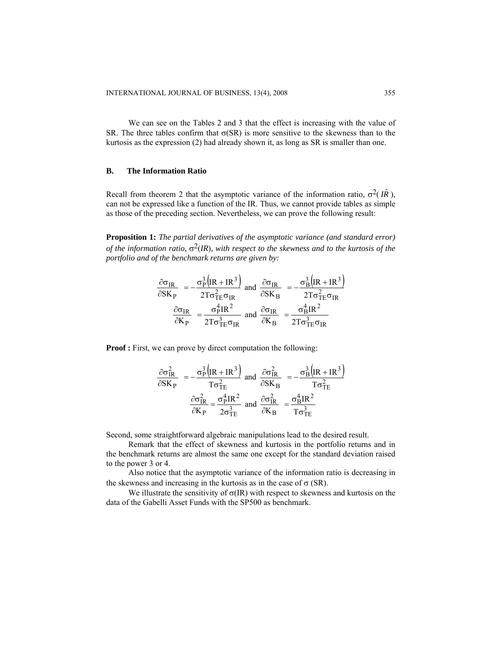We can see on the Tables 2 and 3 that the effect is increasing with the value of SR. The three tables confirm that  $\sigma(SR)$  is more sensitive to the skewness than to the kurtosis as the expression (2) had already shown it, as long as SR is smaller than one.

# **B. The Information Ratio**

Recall from theorem 2 that the asymptotic variance of the information ratio,  $σ<sup>2</sup>(I\hat{R})$ , can not be expressed like a function of the IR. Thus, we cannot provide tables as simple as those of the preceding section. Nevertheless, we can prove the following result:

**Proposition 1:** *The partial derivatives of the asymptotic variance (and standard error) of the information ratio,*  $\sigma^2$ *(IR), with respect to the skewness and to the kurtosis of the portfolio and of the benchmark returns are given by:* 

$$
\frac{\partial \sigma_{IR}}{\partial SK_P} = -\frac{\sigma_P^3 \left( IR + IR^3 \right)}{2T \sigma_{TE}^2 \sigma_{IR}} \text{ and } \frac{\partial \sigma_{IR}}{\partial SK_B} = -\frac{\sigma_B^3 \left( IR + IR^3 \right)}{2T \sigma_{TE}^2 \sigma_{IR}}
$$

$$
\frac{\partial \sigma_{IR}}{\partial K_P} = \frac{\sigma_P^4 IR^2}{2T \sigma_{TE}^3 \sigma_{IR}} \text{ and } \frac{\partial \sigma_{IR}}{\partial K_B} = \frac{\sigma_B^4 IR^2}{2T \sigma_{TE}^3 \sigma_{IR}}
$$

**Proof :** First, we can prove by direct computation the following:

$$
\frac{\partial \sigma_{IR}^2}{\partial SK_P} = -\frac{\sigma_P^3 \left( IR + IR^3 \right)}{T \sigma_{TE}^2} \text{ and } \frac{\partial \sigma_{IR}^2}{\partial SK_B} = -\frac{\sigma_B^3 \left( IR + IR^3 \right)}{T \sigma_{TE}^2}
$$

$$
\frac{\partial \sigma_{IR}^2}{\partial K_P} = \frac{\sigma_P^4 IR^2}{2 \sigma_{TE}^3} \text{ and } \frac{\partial \sigma_{IR}^2}{\partial K_B} = \frac{\sigma_B^4 IR^2}{T \sigma_{TE}^3}
$$

Second, some straightforward algebraic manipulations lead to the desired result.

Remark that the effect of skewness and kurtosis in the portfolio returns and in the benchmark returns are almost the same one except for the standard deviation raised to the power 3 or 4.

Also notice that the asymptotic variance of the information ratio is decreasing in the skewness and increasing in the kurtosis as in the case of  $\sigma$  (SR).

We illustrate the sensitivity of  $\sigma$ (IR) with respect to skewness and kurtosis on the data of the Gabelli Asset Funds with the SP500 as benchmark.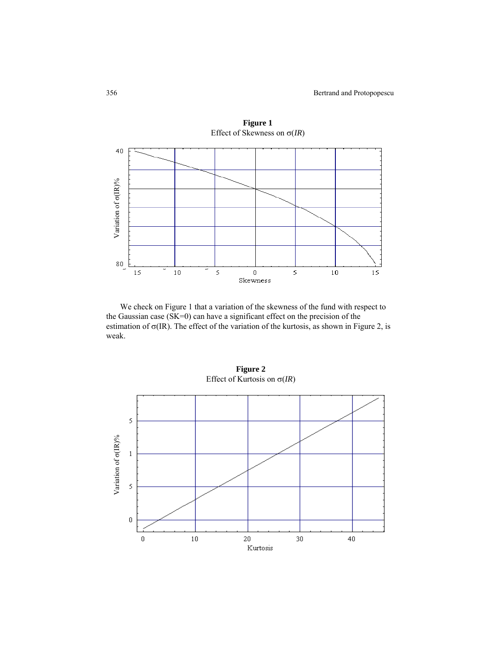

We check on Figure 1 that a variation of the skewness of the fund with respect to the Gaussian case (SK=0) can have a significant effect on the precision of the estimation of  $\sigma$ (IR). The effect of the variation of the kurtosis, as shown in Figure 2, is weak.



**Figure 2**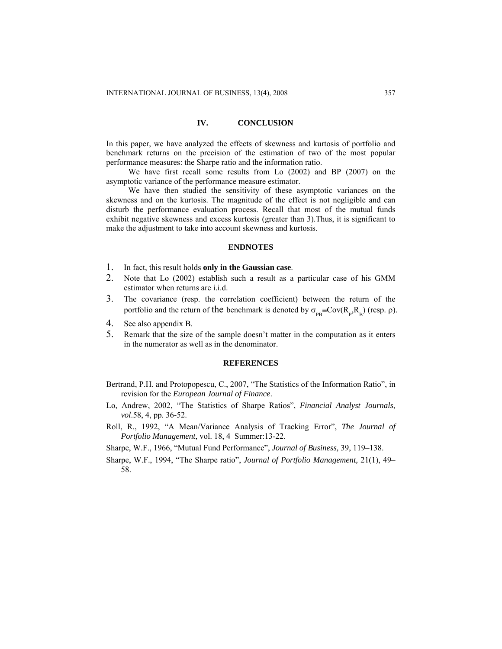## **IV. CONCLUSION**

In this paper, we have analyzed the effects of skewness and kurtosis of portfolio and benchmark returns on the precision of the estimation of two of the most popular performance measures: the Sharpe ratio and the information ratio.

We have first recall some results from Lo (2002) and BP (2007) on the asymptotic variance of the performance measure estimator.

We have then studied the sensitivity of these asymptotic variances on the skewness and on the kurtosis. The magnitude of the effect is not negligible and can disturb the performance evaluation process. Recall that most of the mutual funds exhibit negative skewness and excess kurtosis (greater than 3).Thus, it is significant to make the adjustment to take into account skewness and kurtosis.

## **ENDNOTES**

- 1. In fact, this result holds **only in the Gaussian case**.
- 2. Note that Lo (2002) establish such a result as a particular case of his GMM estimator when returns are i.i.d.
- 3. The covariance (resp. the correlation coefficient) between the return of the portfolio and the return of the benchmark is denoted by  $\sigma_{\text{pB}} = \text{Cov}(R_{p}, R_{B})$  (resp.  $\rho$ ).
- 4. See also appendix B.
- 5. Remark that the size of the sample doesn't matter in the computation as it enters in the numerator as well as in the denominator.

#### **REFERENCES**

- Bertrand, P.H. and Protopopescu, C., 2007, "The Statistics of the Information Ratio", in revision for the *European Journal of Finance*.
- Lo, Andrew, 2002, "The Statistics of Sharpe Ratios", *Financial Analyst Journals*, *vol*.58, 4, pp. 36-52.
- Roll, R., 1992, "A Mean/Variance Analysis of Tracking Error", *The Journal of Portfolio Management*, vol. 18, 4 Summer:13-22.
- Sharpe, W.F., 1966, "Mutual Fund Performance", *Journal of Business,* 39, 119–138.
- Sharpe, W.F., 1994, "The Sharpe ratio", *Journal of Portfolio Management,* 21(1), 49– 58.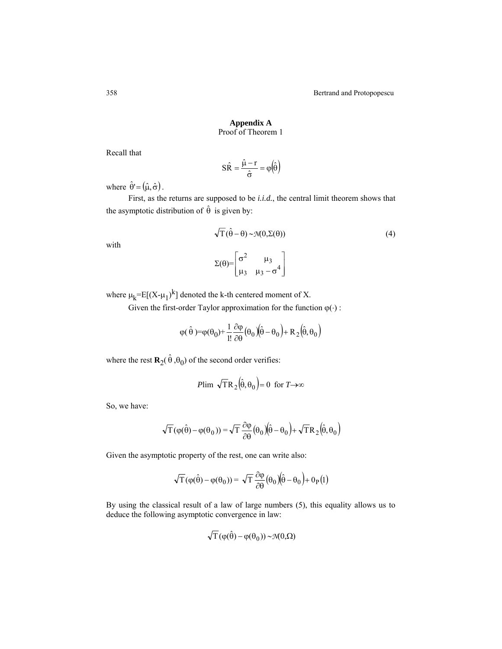# **Appendix A**  Proof of Theorem 1

Recall that

$$
S\hat{R} = \frac{\hat{\mu} - r}{\hat{\sigma}} = \varphi(\hat{\theta})
$$

where  $\hat{\theta} = (\hat{\mu}, \hat{\sigma})$ .

First, as the returns are supposed to be *i.i.d.*, the central limit theorem shows that the asymptotic distribution of  $\hat{\theta}$  is given by:

$$
\sqrt{T}(\hat{\theta} - \theta) \sim \mathcal{N}(0, \Sigma(\theta))
$$
\n(4)

with

$$
\Sigma(\theta) = \begin{bmatrix} \sigma^2 & \mu_3 \\ \mu_3 & \mu_3 - \sigma^4 \end{bmatrix}
$$

where  $\mu_k = E[(X - \mu_1)^k]$  denoted the k-th centered moment of X.

Given the first-order Taylor approximation for the function  $\varphi(\cdot)$ :

$$
\phi(\,\hat{\theta}\,)=\phi(\theta_0)+\frac{1}{1!}\frac{\partial\phi}{\partial\theta}\big(\theta_0\,\big)\!\!\Big(\!\hat{\theta}-\theta_0\Big)+R_2\Big(\!\hat{\theta},\theta_0\Big)
$$

where the rest  $\mathbf{R}_2(\hat{\theta}, \theta_0)$  of the second order verifies:

$$
P\lim \sqrt{T}R_2(\hat{\theta}, \theta_0) = 0 \text{ for } T \to \infty
$$

So, we have:

$$
\sqrt{T}(\varphi(\hat{\theta}) - \varphi(\theta_0)) = \sqrt{T} \frac{\partial \varphi}{\partial \theta}(\theta_0)(\hat{\theta} - \theta_0) + \sqrt{T}R_2(\hat{\theta}, \theta_0)
$$

Given the asymptotic property of the rest, one can write also:

$$
\sqrt{T} (\phi(\hat{\theta}) - \phi(\theta_0)) = \sqrt{T} \frac{\partial \phi}{\partial \theta} (\theta_0) (\hat{\theta} - \theta_0) + o_P(1)
$$

By using the classical result of a law of large numbers (5), this equality allows us to deduce the following asymptotic convergence in law:

$$
\sqrt{T} (\varphi(\hat{\theta}) - \varphi(\theta_0)) \sim \mathcal{N}(0, \Omega)
$$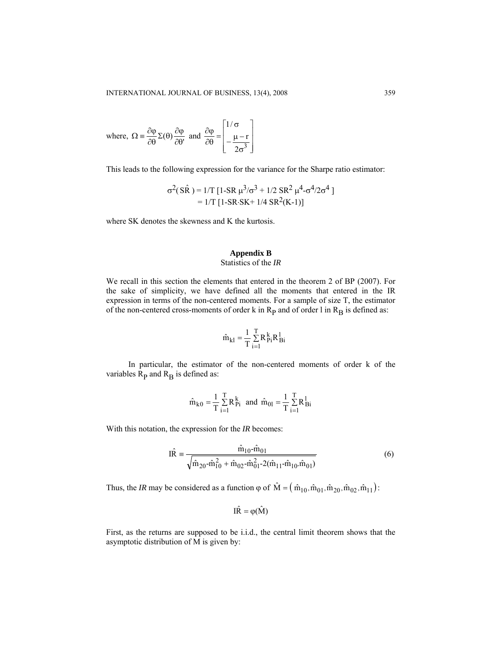where, 
$$
\Omega = \frac{\partial \varphi}{\partial \theta} \Sigma(\theta) \frac{\partial \varphi}{\partial \theta'}
$$
 and  $\frac{\partial \varphi}{\partial \theta} = \begin{bmatrix} 1/\sigma \\ -\frac{\mu - r}{2\sigma^3} \end{bmatrix}$ 

This leads to the following expression for the variance for the Sharpe ratio estimator:

$$
\sigma^{2}(S\hat{R}) = 1/T [1-SR \mu^{3}/\sigma^{3} + 1/2 SR^{2} \mu^{4} - \sigma^{4}/2\sigma^{4}]
$$
  
= 1/T [1-SR-SK+ 1/4 SR<sup>2</sup>(K-1)]

where SK denotes the skewness and K the kurtosis.

# **Appendix B**  Statistics of the *IR*

We recall in this section the elements that entered in the theorem 2 of BP (2007). For the sake of simplicity, we have defined all the moments that entered in the IR expression in terms of the non-centered moments. For a sample of size T, the estimator of the non-centered cross-moments of order k in  $R_p$  and of order l in  $R_B$  is defined as:

$$
\hat{m}_{kl}=\!\frac{1}{T}\sum\limits_{i=1}^{T}\!R_{Pi}^{\,k}R_{Bi}^{\,l}
$$

In particular, the estimator of the non-centered moments of order k of the variables  $R_p$  and  $R_B$  is defined as:

$$
\hat{m}_{k0} = \frac{1}{T} \sum_{i=1}^{T} R_{Pi}^{k}
$$
 and  $\hat{m}_{0l} = \frac{1}{T} \sum_{i=1}^{T} R_{Bi}^{l}$ 

With this notation, the expression for the *IR* becomes:

$$
\hat{\text{IR}} = \frac{\hat{\text{m}}_{10} - \hat{\text{m}}_{01}}{\sqrt{\hat{\text{m}}_{20} - \hat{\text{m}}_{10}^2 + \hat{\text{m}}_{02} - \hat{\text{m}}_{01}^2 - 2(\hat{\text{m}}_{11} - \hat{\text{m}}_{10} \cdot \hat{\text{m}}_{01})}}
$$
(6)

Thus, the *IR* may be considered as a function  $\varphi$  of  $\hat{M} = (\hat{m}_{10}, \hat{m}_{01}, \hat{m}_{20}, \hat{m}_{02}, \hat{m}_{11})$ :

$$
I\hat{R}=\phi(\hat{M})
$$

First, as the returns are supposed to be i.i.d., the central limit theorem shows that the asymptotic distribution of M is given by: